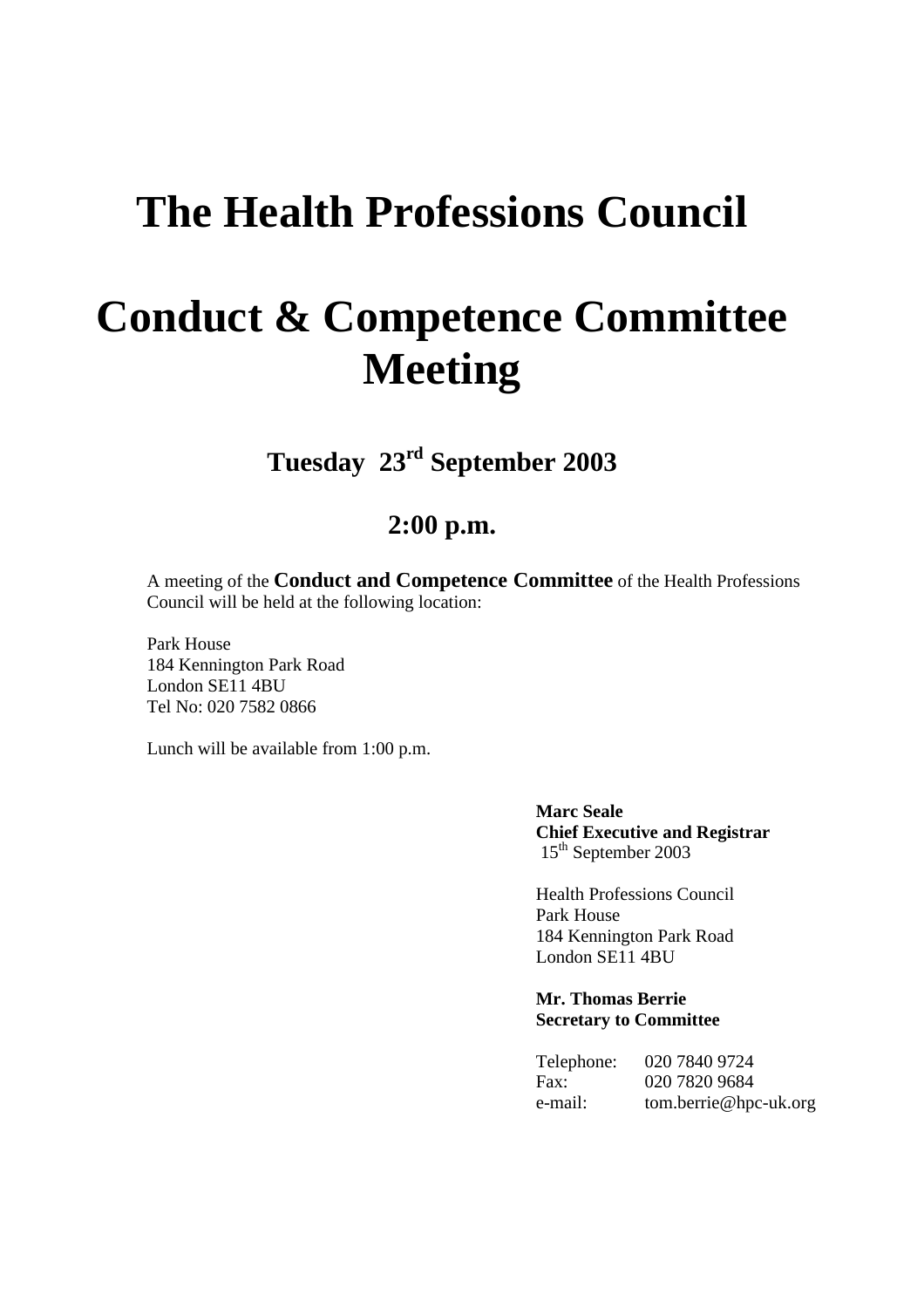## **The Health Professions Council**

# **Conduct & Competence Committee Meeting**

**Tuesday 23rd September 2003**

### **2:00 p.m.**

A meeting of the **Conduct and Competence Committee** of the Health Professions Council will be held at the following location:

Park House 184 Kennington Park Road London SE11 4BU Tel No: 020 7582 0866

Lunch will be available from 1:00 p.m.

**Marc Seale Chief Executive and Registrar**  15<sup>th</sup> September 2003

Health Professions Council Park House 184 Kennington Park Road London SE11 4BU

**Mr. Thomas Berrie Secretary to Committee**

| Telephone: | 020 7840 9724         |
|------------|-----------------------|
| Fax:       | 020 7820 9684         |
| e-mail:    | tom.berrie@hpc-uk.org |